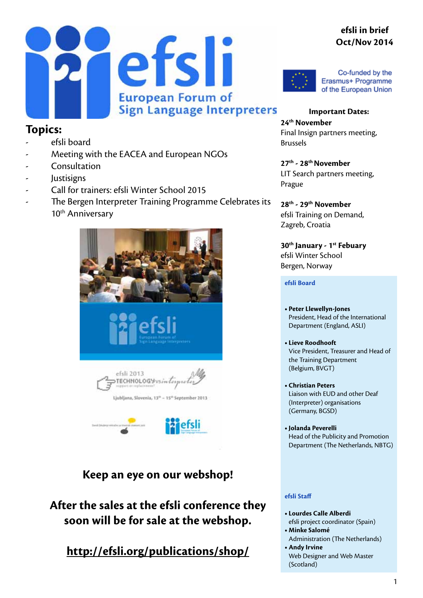#### **efsli in brief Oct/Nov 2014**





Co-funded by the Erasmus+ Programme of the European Union

**Topics:**

- efsli board
- Meeting with the EACEA and European NGOs
- **Consultation**
- **Justisigns**
- Call for trainers: efsli Winter School 2015
- The Bergen Interpreter Training Programme Celebrates its 10<sup>th</sup> Anniversary



**Keep an eye on our webshop!**

**After the sales at the efsli conference they soon will be for sale at the webshop.**

**<http://efsli.org/publications/shop/>**

**Important Dates: 24th November** Final Insign partners meeting, Brussels

**27th - 28th November** LIT Search partners meeting, Prague

**28th - 29th November** efsli Training on Demand, Zagreb, Croatia

**30th January - 1st Febuary** efsli Winter School Bergen, Norway

**efsli Board**

- **• Peter Llewellyn-Jones** President, Head of the International Department (England, ASLI)
- **• Lieve Roodhooft** Vice President, Treasurer and Head of the Training Department (Belgium, BVGT)
- **• Christian Peters**  Liaison with EUD and other Deaf (Interpreter) organisations (Germany, BGSD)
- **• Jolanda Peverelli** Head of the Publicity and Promotion Department (The Netherlands, NBTG)

#### **efsli Staff**

- **• Lourdes Calle Alberdi** efsli project coordinator (Spain)
- **• Minke Salomé** Administration (The Netherlands)
- **Andy Irvine** Web Designer and Web Master (Scotland)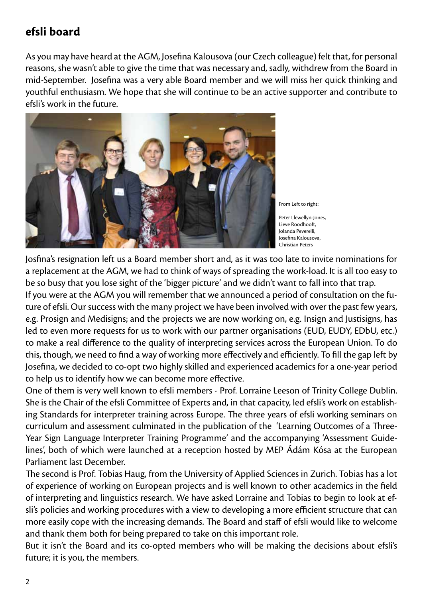## **efsli board**

As you may have heard at the AGM, Josefina Kalousova (our Czech colleague) felt that, for personal reasons, she wasn't able to give the time that was necessary and, sadly, withdrew from the Board in mid-September. Josefina was a very able Board member and we will miss her quick thinking and youthful enthusiasm. We hope that she will continue to be an active supporter and contribute to efsli's work in the future.



From Left to right:

Peter Llewellyn-Jones, Lieve Roodhooft, Jolanda Peverelli, Josefina Kalousova, Christian Peters

Josfina's resignation left us a Board member short and, as it was too late to invite nominations for a replacement at the AGM, we had to think of ways of spreading the work-load. It is all too easy to be so busy that you lose sight of the 'bigger picture' and we didn't want to fall into that trap.

If you were at the AGM you will remember that we announced a period of consultation on the future of efsli. Our success with the many project we have been involved with over the past few years, e.g. Prosign and Medisigns; and the projects we are now working on, e.g. Insign and Justisigns, has led to even more requests for us to work with our partner organisations (EUD, EUDY, EDbU, etc.) to make a real difference to the quality of interpreting services across the European Union. To do this, though, we need to find a way of working more effectively and efficiently. To fill the gap left by Josefina, we decided to co-opt two highly skilled and experienced academics for a one-year period to help us to identify how we can become more effective.

One of them is very well known to efsli members - Prof. Lorraine Leeson of Trinity College Dublin. She is the Chair of the efsli Committee of Experts and, in that capacity, led efsli's work on establishing Standards for interpreter training across Europe. The three years of efsli working seminars on curriculum and assessment culminated in the publication of the 'Learning Outcomes of a Three-Year Sign Language Interpreter Training Programme' and the accompanying 'Assessment Guidelines', both of which were launched at a reception hosted by MEP Ádám Kósa at the European Parliament last December.

The second is Prof. Tobias Haug, from the University of Applied Sciences in Zurich. Tobias has a lot of experience of working on European projects and is well known to other academics in the field of interpreting and linguistics research. We have asked Lorraine and Tobias to begin to look at efsli's policies and working procedures with a view to developing a more efficient structure that can more easily cope with the increasing demands. The Board and staff of efsli would like to welcome and thank them both for being prepared to take on this important role.

But it isn't the Board and its co-opted members who will be making the decisions about efsli's future; it is you, the members.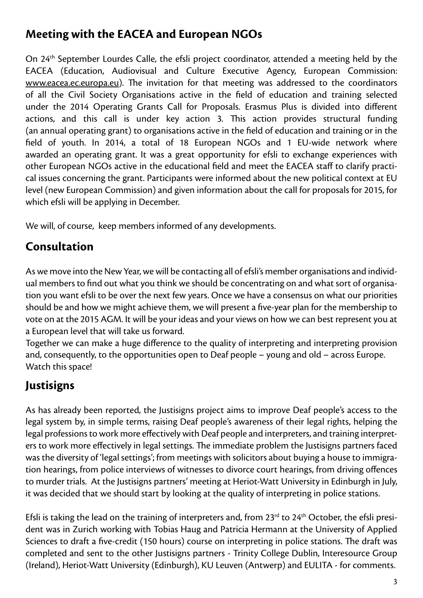## **Meeting with the EACEA and European NGOs**

On 24th September Lourdes Calle, the efsli project coordinator, attended a meeting held by the EACEA (Education, Audiovisual and Culture Executive Agency, European Commission: <www.eacea.ec.europa.eu>). The invitation for that meeting was addressed to the coordinators of all the Civil Society Organisations active in the field of education and training selected under the 2014 Operating Grants Call for Proposals. Erasmus Plus is divided into different actions, and this call is under key action 3. This action provides structural funding (an annual operating grant) to organisations active in the field of education and training or in the field of youth. In 2014, a total of 18 European NGOs and 1 EU-wide network where awarded an operating grant. It was a great opportunity for efsli to exchange experiences with other European NGOs active in the educational field and meet the EACEA staff to clarify practical issues concerning the grant. Participants were informed about the new political context at EU level (new European Commission) and given information about the call for proposals for 2015, for which efsli will be applying in December.

We will, of course, keep members informed of any developments.

# **Consultation**

As we move into the New Year, we will be contacting all of efsli's member organisations and individual members to find out what you think we should be concentrating on and what sort of organisation you want efsli to be over the next few years. Once we have a consensus on what our priorities should be and how we might achieve them, we will present a five-year plan for the membership to vote on at the 2015 AGM. It will be your ideas and your views on how we can best represent you at a European level that will take us forward.

Together we can make a huge difference to the quality of interpreting and interpreting provision and, consequently, to the opportunities open to Deaf people – young and old – across Europe. Watch this space!

# **Justisigns**

As has already been reported, the Justisigns project aims to improve Deaf people's access to the legal system by, in simple terms, raising Deaf people's awareness of their legal rights, helping the legal professions to work more effectively with Deaf people and interpreters, and training interpreters to work more effectively in legal settings. The immediate problem the Justisigns partners faced was the diversity of 'legal settings'; from meetings with solicitors about buying a house to immigration hearings, from police interviews of witnesses to divorce court hearings, from driving offences to murder trials. At the Justisigns partners' meeting at Heriot-Watt University in Edinburgh in July, it was decided that we should start by looking at the quality of interpreting in police stations.

Efsli is taking the lead on the training of interpreters and, from 23<sup>rd</sup> to 24<sup>th</sup> October, the efsli president was in Zurich working with Tobias Haug and Patricia Hermann at the University of Applied Sciences to draft a five-credit (150 hours) course on interpreting in police stations. The draft was completed and sent to the other Justisigns partners - Trinity College Dublin, Interesource Group (Ireland), Heriot-Watt University (Edinburgh), KU Leuven (Antwerp) and EULITA - for comments.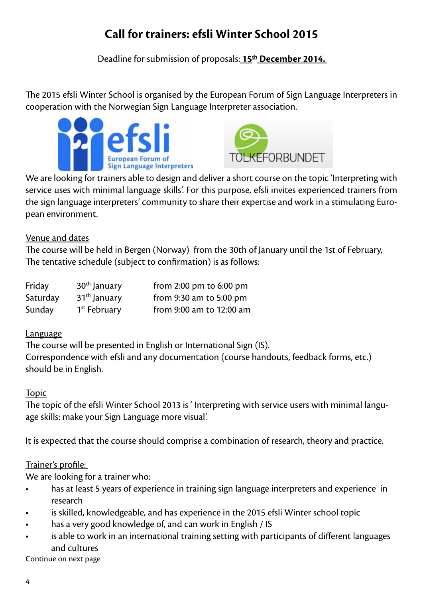# **Call for trainers: efsli Winter School 2015**

Deadline for submission of proposals: **15th December 2014.** 

The 2015 efsli Winter School is organised by the European Forum of Sign Language Interpreters in cooperation with the Norwegian Sign Language Interpreter association.





We are looking for trainers able to design and deliver a short course on the topic 'Interpreting with service uses with minimal language skills'. For this purpose, efsli invites experienced trainers from the sign language interpreters' community to share their expertise and work in a stimulating European environment.

Venue and dates

The course will be held in Bergen (Norway) from the 30th of January until the 1st of February, The tentative schedule (subject to confirmation) is as follows:

| Friday   | $30th$ January           | from $2:00 \text{ pm}$ to $6:00 \text{ pm}$ |
|----------|--------------------------|---------------------------------------------|
| Saturday | $31th$ January           | from $9:30$ am to $5:00$ pm                 |
| Sunday   | 1 <sup>st</sup> February | from 9:00 am to 12:00 am                    |

#### Language

The course will be presented in English or International Sign (IS). Correspondence with efsli and any documentation (course handouts, feedback forms, etc.) should be in English.

#### Topic

The topic of the efsli Winter School 2013 is ' Interpreting with service users with minimal language skills: make your Sign Language more visual'.

It is expected that the course should comprise a combination of research, theory and practice.

#### Trainer's profile:

We are looking for a trainer who:

- has at least 5 years of experience in training sign language interpreters and experience in research
- is skilled, knowledgeable, and has experience in the 2015 efsli Winter school topic
- has a very good knowledge of, and can work in English / IS
- is able to work in an international training setting with participants of different languages and cultures

Continue on next page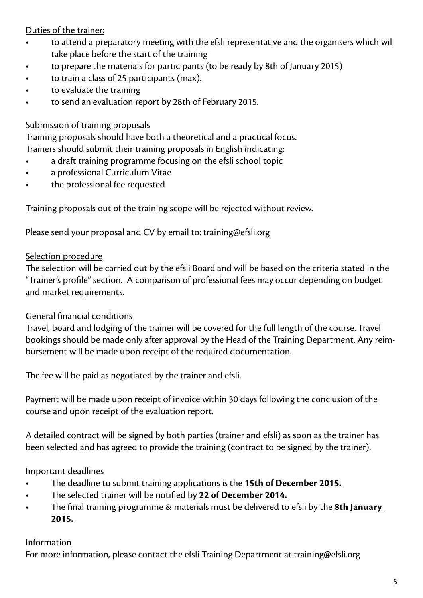Duties of the trainer:

- to attend a preparatory meeting with the efsli representative and the organisers which will take place before the start of the training
- to prepare the materials for participants (to be ready by 8th of January 2015)
- to train a class of 25 participants (max).
- to evaluate the training
- to send an evaluation report by 28th of February 2015.

#### Submission of training proposals

Training proposals should have both a theoretical and a practical focus. Trainers should submit their training proposals in English indicating:

- a draft training programme focusing on the efsli school topic
- a professional Curriculum Vitae
- the professional fee requested

Training proposals out of the training scope will be rejected without review.

Please send your proposal and CV by email to: [training@efsli.org](mailto:training@efsli.org )

#### Selection procedure

The selection will be carried out by the efsli Board and will be based on the criteria stated in the "Trainer's profile" section. A comparison of professional fees may occur depending on budget and market requirements.

#### General financial conditions

Travel, board and lodging of the trainer will be covered for the full length of the course. Travel bookings should be made only after approval by the Head of the Training Department. Any reimbursement will be made upon receipt of the required documentation.

The fee will be paid as negotiated by the trainer and efsli.

Payment will be made upon receipt of invoice within 30 days following the conclusion of the course and upon receipt of the evaluation report.

A detailed contract will be signed by both parties (trainer and efsli) as soon as the trainer has been selected and has agreed to provide the training (contract to be signed by the trainer).

#### Important deadlines

- The deadline to submit training applications is the **15th of December 2015.**
- The selected trainer will be notified by **22 of December 2014.**
- The final training programme & materials must be delivered to efsli by the **8th January 2015.**

#### Information

For more information, please contact the efsli Training Department at [training@efsli.org](mailto:training@efsli.org )